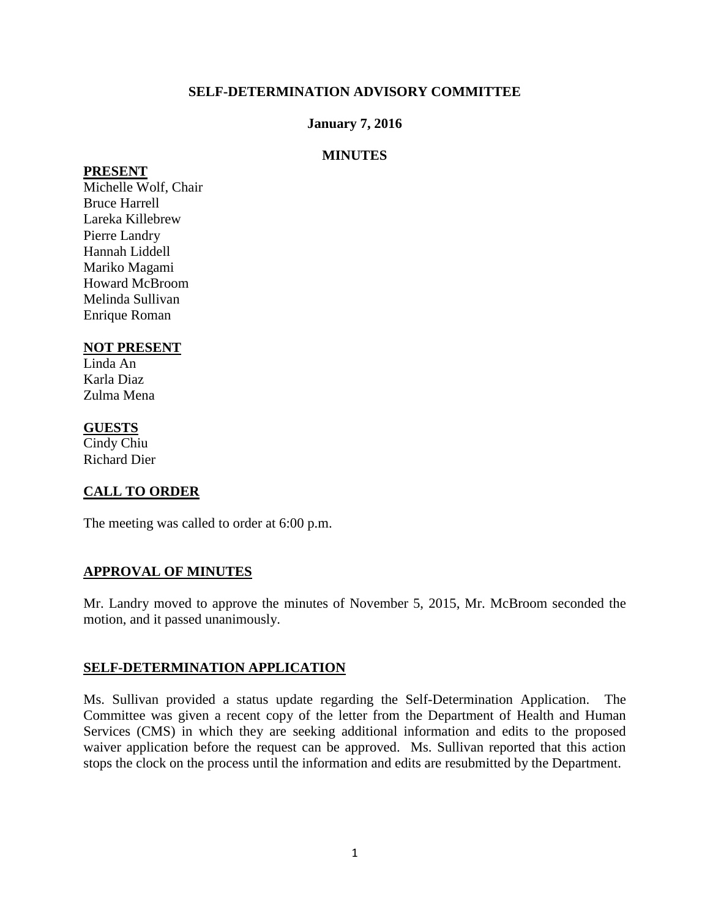### **SELF-DETERMINATION ADVISORY COMMITTEE**

### **January 7, 2016**

### **MINUTES**

#### **PRESENT**

Michelle Wolf, Chair Bruce Harrell Lareka Killebrew Pierre Landry Hannah Liddell Mariko Magami Howard McBroom Melinda Sullivan Enrique Roman

## **NOT PRESENT**

Linda An Karla Diaz Zulma Mena

### **GUESTS**

Cindy Chiu Richard Dier

# **CALL TO ORDER**

The meeting was called to order at 6:00 p.m.

### **APPROVAL OF MINUTES**

Mr. Landry moved to approve the minutes of November 5, 2015, Mr. McBroom seconded the motion, and it passed unanimously.

### **SELF-DETERMINATION APPLICATION**

Ms. Sullivan provided a status update regarding the Self-Determination Application. The Committee was given a recent copy of the letter from the Department of Health and Human Services (CMS) in which they are seeking additional information and edits to the proposed waiver application before the request can be approved. Ms. Sullivan reported that this action stops the clock on the process until the information and edits are resubmitted by the Department.